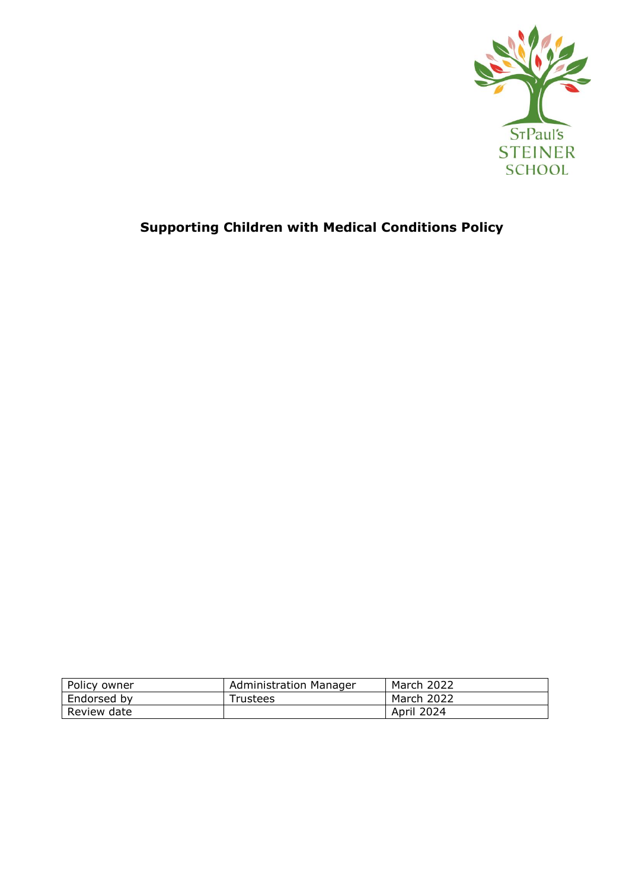

# **Supporting Children with Medical Conditions Policy**

| Policy owner | <b>Administration Manager</b> | March 2022 |
|--------------|-------------------------------|------------|
| Endorsed by  | <b>Trustees</b>               | March 2022 |
| Review date  |                               | April 2024 |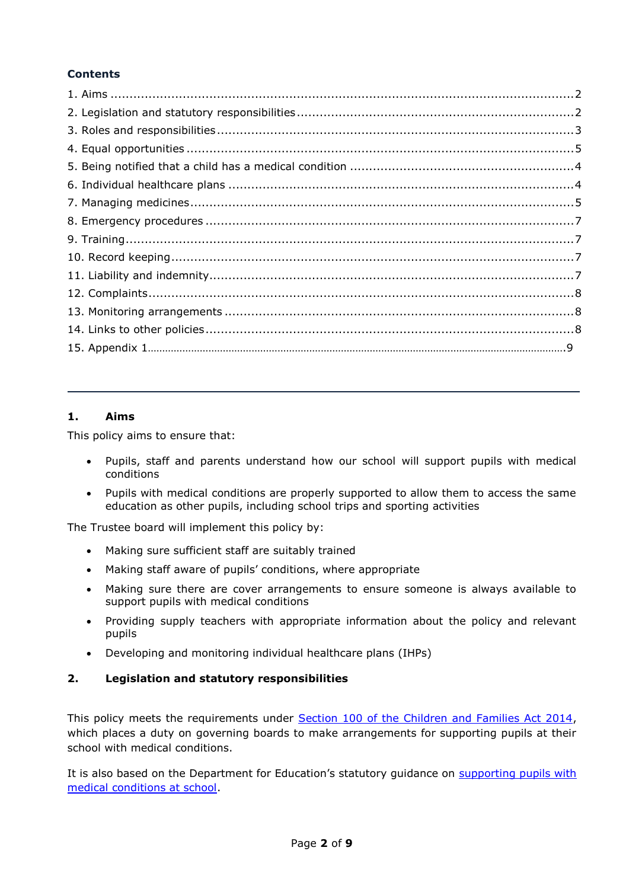# **Contents**

# **1. Aims**

This policy aims to ensure that:

- Pupils, staff and parents understand how our school will support pupils with medical conditions
- Pupils with medical conditions are properly supported to allow them to access the same education as other pupils, including school trips and sporting activities

The Trustee board will implement this policy by:

- Making sure sufficient staff are suitably trained
- Making staff aware of pupils' conditions, where appropriate
- Making sure there are cover arrangements to ensure someone is always available to support pupils with medical conditions
- Providing supply teachers with appropriate information about the policy and relevant pupils
- Developing and monitoring individual healthcare plans (IHPs)

# **2. Legislation and statutory responsibilities**

This policy meets the requirements under [Section 100 of the Children and Families Act 2014,](http://www.legislation.gov.uk/ukpga/2014/6/part/5/crossheading/pupils-with-medical-conditions) which places a duty on governing boards to make arrangements for supporting pupils at their school with medical conditions.

It is also based on the Department for Education's statutory guidance on supporting pupils with [medical conditions at school.](https://www.gov.uk/government/publications/supporting-pupils-at-school-with-medical-conditions--3)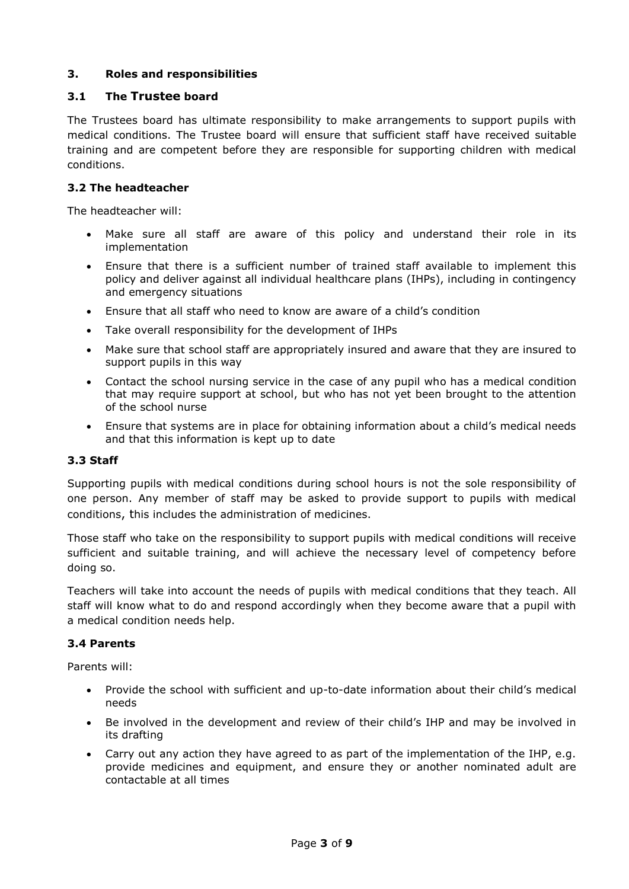## **3. Roles and responsibilities**

## **3.1 The Trustee board**

The Trustees board has ultimate responsibility to make arrangements to support pupils with medical conditions. The Trustee board will ensure that sufficient staff have received suitable training and are competent before they are responsible for supporting children with medical conditions.

### **3.2 The headteacher**

The headteacher will:

- Make sure all staff are aware of this policy and understand their role in its implementation
- Ensure that there is a sufficient number of trained staff available to implement this policy and deliver against all individual healthcare plans (IHPs), including in contingency and emergency situations
- Ensure that all staff who need to know are aware of a child's condition
- Take overall responsibility for the development of IHPs
- Make sure that school staff are appropriately insured and aware that they are insured to support pupils in this way
- Contact the school nursing service in the case of any pupil who has a medical condition that may require support at school, but who has not yet been brought to the attention of the school nurse
- Ensure that systems are in place for obtaining information about a child's medical needs and that this information is kept up to date

### **3.3 Staff**

Supporting pupils with medical conditions during school hours is not the sole responsibility of one person. Any member of staff may be asked to provide support to pupils with medical conditions, this includes the administration of medicines.

Those staff who take on the responsibility to support pupils with medical conditions will receive sufficient and suitable training, and will achieve the necessary level of competency before doing so.

Teachers will take into account the needs of pupils with medical conditions that they teach. All staff will know what to do and respond accordingly when they become aware that a pupil with a medical condition needs help.

### **3.4 Parents**

Parents will:

- Provide the school with sufficient and up-to-date information about their child's medical needs
- Be involved in the development and review of their child's IHP and may be involved in its drafting
- Carry out any action they have agreed to as part of the implementation of the IHP, e.g. provide medicines and equipment, and ensure they or another nominated adult are contactable at all times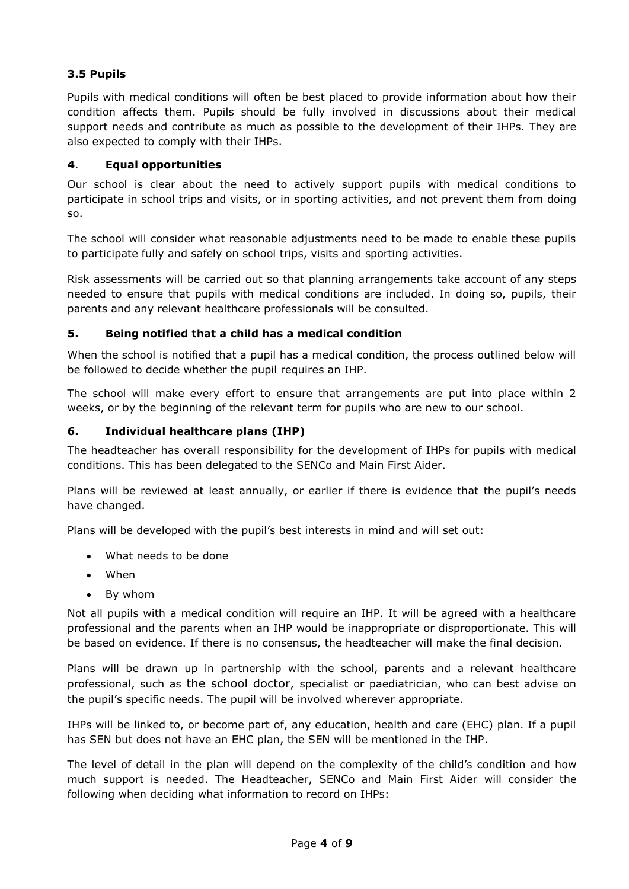# **3.5 Pupils**

Pupils with medical conditions will often be best placed to provide information about how their condition affects them. Pupils should be fully involved in discussions about their medical support needs and contribute as much as possible to the development of their IHPs. They are also expected to comply with their IHPs.

# **4**. **Equal opportunities**

Our school is clear about the need to actively support pupils with medical conditions to participate in school trips and visits, or in sporting activities, and not prevent them from doing so.

The school will consider what reasonable adjustments need to be made to enable these pupils to participate fully and safely on school trips, visits and sporting activities.

Risk assessments will be carried out so that planning arrangements take account of any steps needed to ensure that pupils with medical conditions are included. In doing so, pupils, their parents and any relevant healthcare professionals will be consulted.

# **5. Being notified that a child has a medical condition**

When the school is notified that a pupil has a medical condition, the process outlined below will be followed to decide whether the pupil requires an IHP.

The school will make every effort to ensure that arrangements are put into place within 2 weeks, or by the beginning of the relevant term for pupils who are new to our school.

## **6. Individual healthcare plans (IHP)**

The headteacher has overall responsibility for the development of IHPs for pupils with medical conditions. This has been delegated to the SENCo and Main First Aider.

Plans will be reviewed at least annually, or earlier if there is evidence that the pupil's needs have changed.

Plans will be developed with the pupil's best interests in mind and will set out:

- What needs to be done
- When
- By whom

Not all pupils with a medical condition will require an IHP. It will be agreed with a healthcare professional and the parents when an IHP would be inappropriate or disproportionate. This will be based on evidence. If there is no consensus, the headteacher will make the final decision.

Plans will be drawn up in partnership with the school, parents and a relevant healthcare professional, such as the school doctor, specialist or paediatrician, who can best advise on the pupil's specific needs. The pupil will be involved wherever appropriate.

IHPs will be linked to, or become part of, any education, health and care (EHC) plan. If a pupil has SEN but does not have an EHC plan, the SEN will be mentioned in the IHP.

The level of detail in the plan will depend on the complexity of the child's condition and how much support is needed. The Headteacher, SENCo and Main First Aider will consider the following when deciding what information to record on IHPs: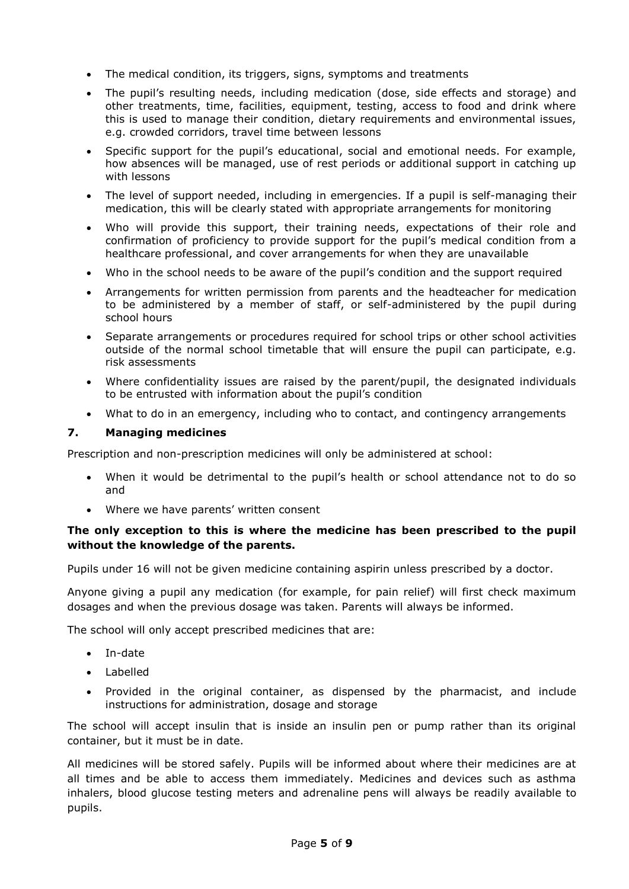- The medical condition, its triggers, signs, symptoms and treatments
- The pupil's resulting needs, including medication (dose, side effects and storage) and other treatments, time, facilities, equipment, testing, access to food and drink where this is used to manage their condition, dietary requirements and environmental issues, e.g. crowded corridors, travel time between lessons
- Specific support for the pupil's educational, social and emotional needs. For example, how absences will be managed, use of rest periods or additional support in catching up with lessons
- The level of support needed, including in emergencies. If a pupil is self-managing their medication, this will be clearly stated with appropriate arrangements for monitoring
- Who will provide this support, their training needs, expectations of their role and confirmation of proficiency to provide support for the pupil's medical condition from a healthcare professional, and cover arrangements for when they are unavailable
- Who in the school needs to be aware of the pupil's condition and the support required
- Arrangements for written permission from parents and the headteacher for medication to be administered by a member of staff, or self-administered by the pupil during school hours
- Separate arrangements or procedures required for school trips or other school activities outside of the normal school timetable that will ensure the pupil can participate, e.g. risk assessments
- Where confidentiality issues are raised by the parent/pupil, the designated individuals to be entrusted with information about the pupil's condition
- What to do in an emergency, including who to contact, and contingency arrangements

# **7. Managing medicines**

Prescription and non-prescription medicines will only be administered at school:

- When it would be detrimental to the pupil's health or school attendance not to do so and
- Where we have parents' written consent

## **The only exception to this is where the medicine has been prescribed to the pupil without the knowledge of the parents.**

Pupils under 16 will not be given medicine containing aspirin unless prescribed by a doctor.

Anyone giving a pupil any medication (for example, for pain relief) will first check maximum dosages and when the previous dosage was taken. Parents will always be informed.

The school will only accept prescribed medicines that are:

- In-date
- Labelled
- Provided in the original container, as dispensed by the pharmacist, and include instructions for administration, dosage and storage

The school will accept insulin that is inside an insulin pen or pump rather than its original container, but it must be in date.

All medicines will be stored safely. Pupils will be informed about where their medicines are at all times and be able to access them immediately. Medicines and devices such as asthma inhalers, blood glucose testing meters and adrenaline pens will always be readily available to pupils.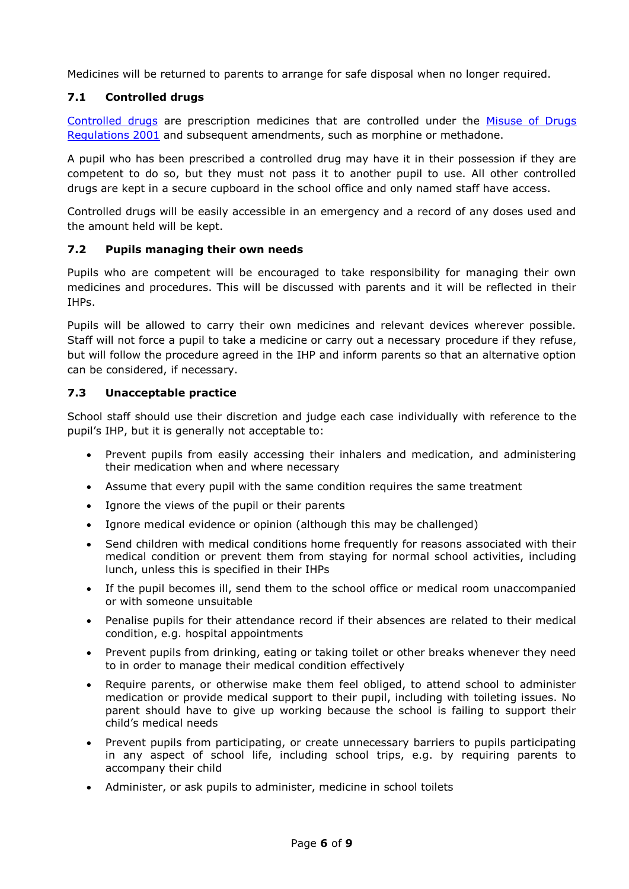Medicines will be returned to parents to arrange for safe disposal when no longer required.

## **7.1 Controlled drugs**

[Controlled drugs](http://www.nhs.uk/chq/Pages/1391.aspx?CategoryID=73) are prescription medicines that are controlled under the [Misuse of Drugs](http://www.legislation.gov.uk/uksi/2001/3998/schedule/1/made)  [Regulations 2001](http://www.legislation.gov.uk/uksi/2001/3998/schedule/1/made) and subsequent amendments, such as morphine or methadone.

A pupil who has been prescribed a controlled drug may have it in their possession if they are competent to do so, but they must not pass it to another pupil to use. All other controlled drugs are kept in a secure cupboard in the school office and only named staff have access.

Controlled drugs will be easily accessible in an emergency and a record of any doses used and the amount held will be kept.

### **7.2 Pupils managing their own needs**

Pupils who are competent will be encouraged to take responsibility for managing their own medicines and procedures. This will be discussed with parents and it will be reflected in their IHPs.

Pupils will be allowed to carry their own medicines and relevant devices wherever possible. Staff will not force a pupil to take a medicine or carry out a necessary procedure if they refuse, but will follow the procedure agreed in the IHP and inform parents so that an alternative option can be considered, if necessary.

### **7.3 Unacceptable practice**

School staff should use their discretion and judge each case individually with reference to the pupil's IHP, but it is generally not acceptable to:

- Prevent pupils from easily accessing their inhalers and medication, and administering their medication when and where necessary
- Assume that every pupil with the same condition requires the same treatment
- Ignore the views of the pupil or their parents
- Ignore medical evidence or opinion (although this may be challenged)
- Send children with medical conditions home frequently for reasons associated with their medical condition or prevent them from staying for normal school activities, including lunch, unless this is specified in their IHPs
- If the pupil becomes ill, send them to the school office or medical room unaccompanied or with someone unsuitable
- Penalise pupils for their attendance record if their absences are related to their medical condition, e.g. hospital appointments
- Prevent pupils from drinking, eating or taking toilet or other breaks whenever they need to in order to manage their medical condition effectively
- Require parents, or otherwise make them feel obliged, to attend school to administer medication or provide medical support to their pupil, including with toileting issues. No parent should have to give up working because the school is failing to support their child's medical needs
- Prevent pupils from participating, or create unnecessary barriers to pupils participating in any aspect of school life, including school trips, e.g. by requiring parents to accompany their child
- Administer, or ask pupils to administer, medicine in school toilets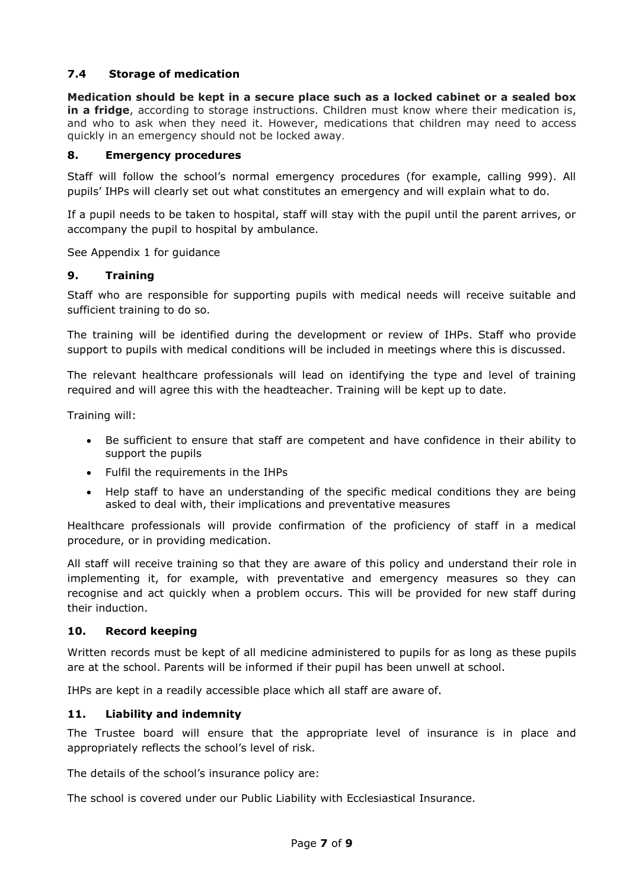## **7.4 Storage of medication**

**Medication should be kept in a secure place such as a locked cabinet or a sealed box in a fridge**, according to storage instructions. Children must know where their medication is, and who to ask when they need it. However, medications that children may need to access quickly in an emergency should not be locked away.

#### **8. Emergency procedures**

Staff will follow the school's normal emergency procedures (for example, calling 999). All pupils' IHPs will clearly set out what constitutes an emergency and will explain what to do.

If a pupil needs to be taken to hospital, staff will stay with the pupil until the parent arrives, or accompany the pupil to hospital by ambulance.

See Appendix 1 for guidance

#### **9. Training**

Staff who are responsible for supporting pupils with medical needs will receive suitable and sufficient training to do so.

The training will be identified during the development or review of IHPs. Staff who provide support to pupils with medical conditions will be included in meetings where this is discussed.

The relevant healthcare professionals will lead on identifying the type and level of training required and will agree this with the headteacher. Training will be kept up to date.

Training will:

- Be sufficient to ensure that staff are competent and have confidence in their ability to support the pupils
- Fulfil the requirements in the IHPs
- Help staff to have an understanding of the specific medical conditions they are being asked to deal with, their implications and preventative measures

Healthcare professionals will provide confirmation of the proficiency of staff in a medical procedure, or in providing medication.

All staff will receive training so that they are aware of this policy and understand their role in implementing it, for example, with preventative and emergency measures so they can recognise and act quickly when a problem occurs. This will be provided for new staff during their induction.

#### **10. Record keeping**

Written records must be kept of all medicine administered to pupils for as long as these pupils are at the school. Parents will be informed if their pupil has been unwell at school.

IHPs are kept in a readily accessible place which all staff are aware of.

### **11. Liability and indemnity**

The Trustee board will ensure that the appropriate level of insurance is in place and appropriately reflects the school's level of risk.

The details of the school's insurance policy are:

The school is covered under our Public Liability with Ecclesiastical Insurance.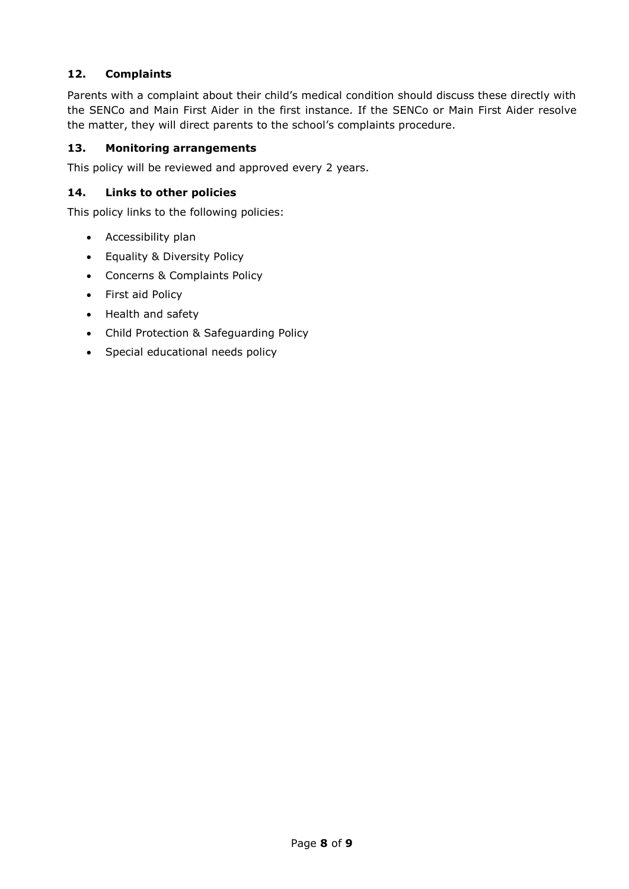# **12. Complaints**

Parents with a complaint about their child's medical condition should discuss these directly with the SENCo and Main First Aider in the first instance. If the SENCo or Main First Aider resolve the matter, they will direct parents to the school's complaints procedure.

## **13. Monitoring arrangements**

This policy will be reviewed and approved every 2 years.

## **14. Links to other policies**

This policy links to the following policies:

- Accessibility plan
- Equality & Diversity Policy
- Concerns & Complaints Policy
- First aid Policy
- Health and safety
- Child Protection & Safeguarding Policy
- Special educational needs policy